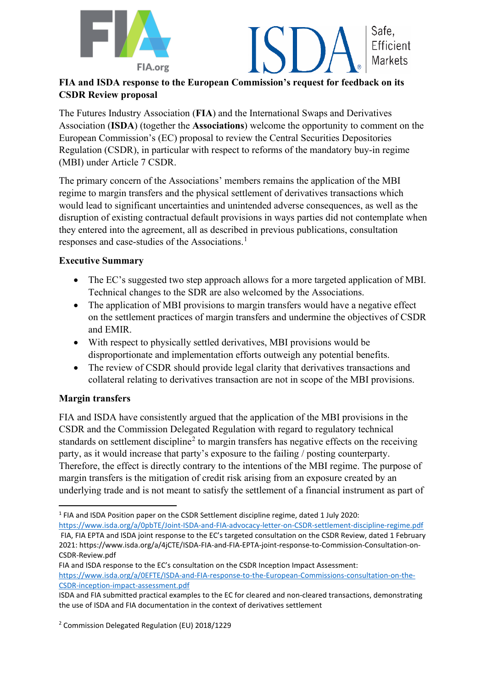



# **FIA and ISDA response to the European Commission's request for feedback on its CSDR Review proposal**

The Futures Industry Association (**FIA**) and the International Swaps and Derivatives Association (**ISDA**) (together the **Associations**) welcome the opportunity to comment on the European Commission's (EC) proposal to review the Central Securities Depositories Regulation (CSDR), in particular with respect to reforms of the mandatory buy-in regime (MBI) under Article 7 CSDR.

The primary concern of the Associations' members remains the application of the MBI regime to margin transfers and the physical settlement of derivatives transactions which would lead to significant uncertainties and unintended adverse consequences, as well as the disruption of existing contractual default provisions in ways parties did not contemplate when they entered into the agreement, all as described in previous publications, consultation responses and case-studies of the Associations.<sup>[1](#page-0-0)</sup>

### **Executive Summary**

- The EC's suggested two step approach allows for a more targeted application of MBI. Technical changes to the SDR are also welcomed by the Associations.
- The application of MBI provisions to margin transfers would have a negative effect on the settlement practices of margin transfers and undermine the objectives of CSDR and EMIR.
- With respect to physically settled derivatives, MBI provisions would be disproportionate and implementation efforts outweigh any potential benefits.
- The review of CSDR should provide legal clarity that derivatives transactions and collateral relating to derivatives transaction are not in scope of the MBI provisions.

# **Margin transfers**

FIA and ISDA have consistently argued that the application of the MBI provisions in the CSDR and the Commission Delegated Regulation with regard to regulatory technical standards on settlement discipline<sup>[2](#page-0-1)</sup> to margin transfers has negative effects on the receiving party, as it would increase that party's exposure to the failing / posting counterparty. Therefore, the effect is directly contrary to the intentions of the MBI regime. The purpose of margin transfers is the mitigation of credit risk arising from an exposure created by an underlying trade and is not meant to satisfy the settlement of a financial instrument as part of

<span id="page-0-0"></span><sup>1</sup> FIA and ISDA Position paper on the CSDR Settlement discipline regime, dated 1 July 2020:

<https://www.isda.org/a/0pbTE/Joint-ISDA-and-FIA-advocacy-letter-on-CSDR-settlement-discipline-regime.pdf> FIA, FIA EPTA and ISDA joint response to the EC's targeted consultation on the CSDR Review, dated 1 February 2021: https://www.isda.org/a/4jCTE/ISDA-FIA-and-FIA-EPTA-joint-response-to-Commission-Consultation-on-CSDR-Review.pdf

FIA and ISDA response to the EC's consultation on the CSDR Inception Impact Assessment: [https://www.isda.org/a/0EFTE/ISDA-and-FIA-response-to-the-European-Commissions-consultation-on-the-](https://www.isda.org/a/0EFTE/ISDA-and-FIA-response-to-the-European-Commissions-consultation-on-the-CSDR-inception-impact-assessment.pdf)[CSDR-inception-impact-assessment.pdf](https://www.isda.org/a/0EFTE/ISDA-and-FIA-response-to-the-European-Commissions-consultation-on-the-CSDR-inception-impact-assessment.pdf)

ISDA and FIA submitted practical examples to the EC for cleared and non-cleared transactions, demonstrating the use of ISDA and FIA documentation in the context of derivatives settlement

<span id="page-0-1"></span><sup>2</sup> Commission Delegated Regulation (EU) 2018/1229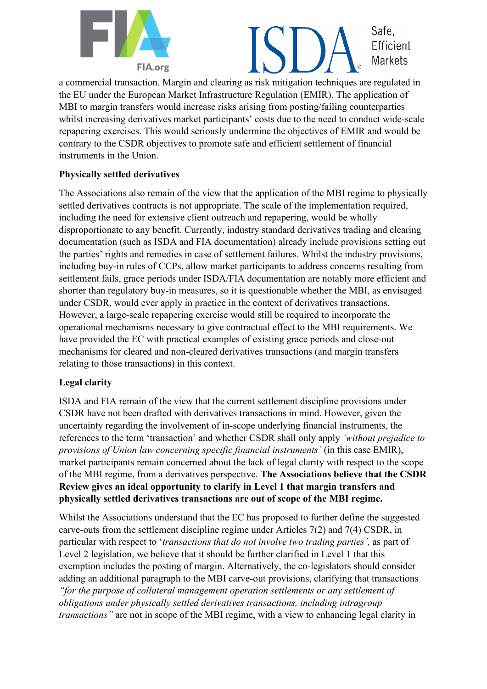



a commercial transaction. Margin and clearing as risk mitigation techniques are regulated in the EU under the European Market Infrastructure Regulation (EMIR). The application of MBI to margin transfers would increase risks arising from posting/failing counterparties whilst increasing derivatives market participants' costs due to the need to conduct wide-scale repapering exercises. This would seriously undermine the objectives of EMIR and would be contrary to the CSDR objectives to promote safe and efficient settlement of financial instruments in the Union.

### **Physically settled derivatives**

The Associations also remain of the view that the application of the MBI regime to physically settled derivatives contracts is not appropriate. The scale of the implementation required, including the need for extensive client outreach and repapering, would be wholly disproportionate to any benefit. Currently, industry standard derivatives trading and clearing documentation (such as ISDA and FIA documentation) already include provisions setting out the parties' rights and remedies in case of settlement failures. Whilst the industry provisions, including buy-in rules of CCPs, allow market participants to address concerns resulting from settlement fails, grace periods under ISDA/FIA documentation are notably more efficient and shorter than regulatory buy-in measures, so it is questionable whether the MBI, as envisaged under CSDR, would ever apply in practice in the context of derivatives transactions. However, a large-scale repapering exercise would still be required to incorporate the operational mechanisms necessary to give contractual effect to the MBI requirements. We have provided the EC with practical examples of existing grace periods and close-out mechanisms for cleared and non-cleared derivatives transactions (and margin transfers relating to those transactions) in this context.

### **Legal clarity**

ISDA and FIA remain of the view that the current settlement discipline provisions under CSDR have not been drafted with derivatives transactions in mind. However, given the uncertainty regarding the involvement of in-scope underlying financial instruments, the references to the term 'transaction' and whether CSDR shall only apply *'without prejudice to provisions of Union law concerning specific financial instruments'* (in this case EMIR), market participants remain concerned about the lack of legal clarity with respect to the scope of the MBI regime, from a derivatives perspective. **The Associations believe that the CSDR Review gives an ideal opportunity to clarify in Level 1 that margin transfers and physically settled derivatives transactions are out of scope of the MBI regime.**

Whilst the Associations understand that the EC has proposed to further define the suggested carve-outs from the settlement discipline regime under Articles 7(2) and 7(4) CSDR, in particular with respect to '*transactions that do not involve two trading parties',* as part of Level 2 legislation, we believe that it should be further clarified in Level 1 that this exemption includes the posting of margin. Alternatively, the co-legislators should consider adding an additional paragraph to the MBI carve-out provisions, clarifying that transactions *"for the purpose of collateral management operation settlements or any settlement of obligations under physically settled derivatives transactions, including intragroup transactions"* are not in scope of the MBI regime, with a view to enhancing legal clarity in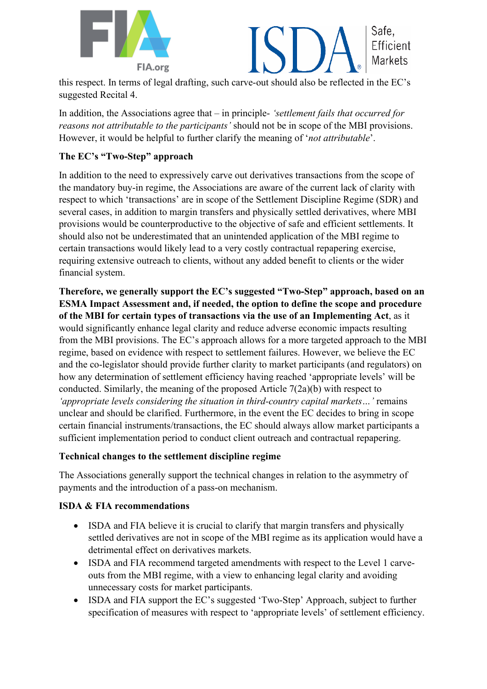



this respect. In terms of legal drafting, such carve-out should also be reflected in the EC's suggested Recital 4.

In addition, the Associations agree that – in principle- *'settlement fails that occurred for reasons not attributable to the participants'* should not be in scope of the MBI provisions. However, it would be helpful to further clarify the meaning of '*not attributable*'.

# **The EC's "Two-Step" approach**

In addition to the need to expressively carve out derivatives transactions from the scope of the mandatory buy-in regime, the Associations are aware of the current lack of clarity with respect to which 'transactions' are in scope of the Settlement Discipline Regime (SDR) and several cases, in addition to margin transfers and physically settled derivatives, where MBI provisions would be counterproductive to the objective of safe and efficient settlements. It should also not be underestimated that an unintended application of the MBI regime to certain transactions would likely lead to a very costly contractual repapering exercise, requiring extensive outreach to clients, without any added benefit to clients or the wider financial system.

**Therefore, we generally support the EC's suggested "Two-Step" approach, based on an ESMA Impact Assessment and, if needed, the option to define the scope and procedure of the MBI for certain types of transactions via the use of an Implementing Act**, as it would significantly enhance legal clarity and reduce adverse economic impacts resulting from the MBI provisions. The EC's approach allows for a more targeted approach to the MBI regime, based on evidence with respect to settlement failures. However, we believe the EC and the co-legislator should provide further clarity to market participants (and regulators) on how any determination of settlement efficiency having reached 'appropriate levels' will be conducted. Similarly, the meaning of the proposed Article 7(2a)(b) with respect to *'appropriate levels considering the situation in third-country capital markets…'* remains unclear and should be clarified. Furthermore, in the event the EC decides to bring in scope certain financial instruments/transactions, the EC should always allow market participants a sufficient implementation period to conduct client outreach and contractual repapering.

### **Technical changes to the settlement discipline regime**

The Associations generally support the technical changes in relation to the asymmetry of payments and the introduction of a pass-on mechanism.

# **ISDA & FIA recommendations**

- ISDA and FIA believe it is crucial to clarify that margin transfers and physically settled derivatives are not in scope of the MBI regime as its application would have a detrimental effect on derivatives markets.
- ISDA and FIA recommend targeted amendments with respect to the Level 1 carveouts from the MBI regime, with a view to enhancing legal clarity and avoiding unnecessary costs for market participants.
- ISDA and FIA support the EC's suggested 'Two-Step' Approach, subject to further specification of measures with respect to 'appropriate levels' of settlement efficiency.